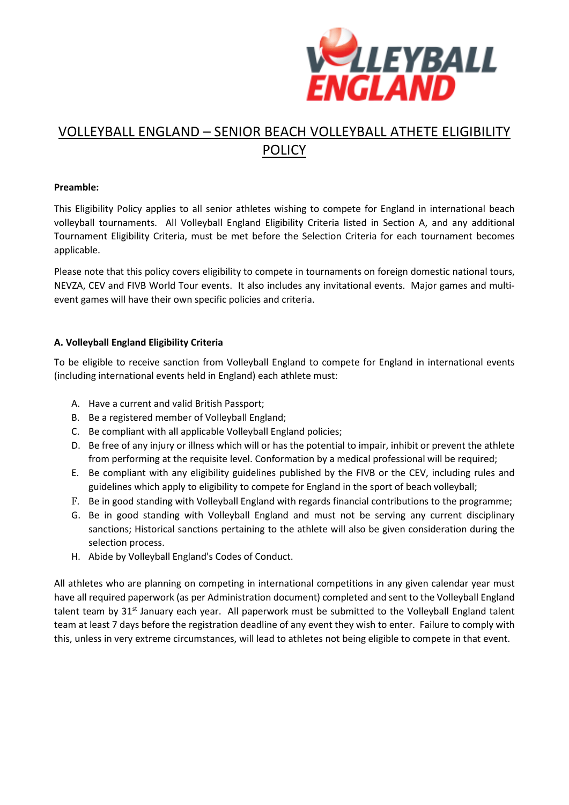

# VOLLEYBALL ENGLAND – SENIOR BEACH VOLLEYBALL ATHETE ELIGIBILITY POLICY

## **Preamble:**

This Eligibility Policy applies to all senior athletes wishing to compete for England in international beach volleyball tournaments. All Volleyball England Eligibility Criteria listed in Section A, and any additional Tournament Eligibility Criteria, must be met before the Selection Criteria for each tournament becomes applicable.

Please note that this policy covers eligibility to compete in tournaments on foreign domestic national tours, NEVZA, CEV and FIVB World Tour events. It also includes any invitational events. Major games and multievent games will have their own specific policies and criteria.

# **A. Volleyball England Eligibility Criteria**

To be eligible to receive sanction from Volleyball England to compete for England in international events (including international events held in England) each athlete must:

- A. Have a current and valid British Passport;
- B. Be a registered member of Volleyball England;
- C. Be compliant with all applicable Volleyball England policies;
- D. Be free of any injury or illness which will or has the potential to impair, inhibit or prevent the athlete from performing at the requisite level. Conformation by a medical professional will be required;
- E. Be compliant with any eligibility guidelines published by the FIVB or the CEV, including rules and guidelines which apply to eligibility to compete for England in the sport of beach volleyball;
- F. Be in good standing with Volleyball England with regards financial contributions to the programme;
- G. Be in good standing with Volleyball England and must not be serving any current disciplinary sanctions; Historical sanctions pertaining to the athlete will also be given consideration during the selection process.
- H. Abide by Volleyball England's Codes of Conduct.

All athletes who are planning on competing in international competitions in any given calendar year must have all required paperwork (as per Administration document) completed and sent to the Volleyball England talent team by 31<sup>st</sup> January each year. All paperwork must be submitted to the Volleyball England talent team at least 7 days before the registration deadline of any event they wish to enter. Failure to comply with this, unless in very extreme circumstances, will lead to athletes not being eligible to compete in that event.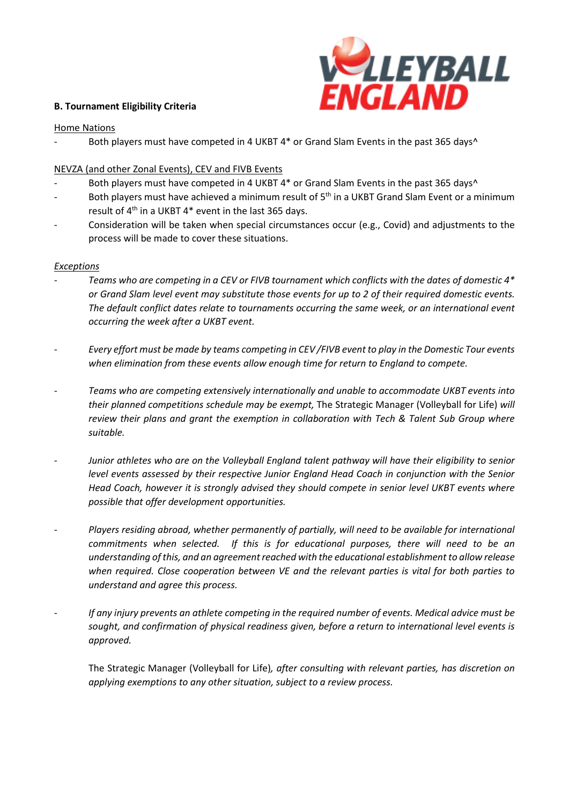## **B. Tournament Eligibility Criteria**



#### Home Nations

Both players must have competed in 4 UKBT 4\* or Grand Slam Events in the past 365 days^

# NEVZA (and other Zonal Events), CEV and FIVB Events

- Both players must have competed in 4 UKBT 4\* or Grand Slam Events in the past 365 days^
- Both players must have achieved a minimum result of 5<sup>th</sup> in a UKBT Grand Slam Event or a minimum result of  $4<sup>th</sup>$  in a UKBT  $4*$  event in the last 365 days.
- Consideration will be taken when special circumstances occur (e.g., Covid) and adjustments to the process will be made to cover these situations.

#### *Exceptions*

- Teams who are competing in a CEV or FIVB tournament which conflicts with the dates of domestic 4\* or Grand Slam level event may substitute those events for up to 2 of their required domestic events. *The default conflict dates relate to tournaments occurring the same week, or an international event occurring the week after a UKBT event.*
- Every effort must be made by teams competing in CEV/FIVB event to play in the Domestic Tour events *when elimination from these events allow enough time for return to England to compete.*
- *- Teams who are competing extensively internationally and unable to accommodate UKBT events into their planned competitions schedule may be exempt,* The Strategic Manager (Volleyball for Life) *will review their plans and grant the exemption in collaboration with Tech & Talent Sub Group where suitable.*
- *- Junior athletes who are on the Volleyball England talent pathway will have their eligibility to senior level events assessed by their respective Junior England Head Coach in conjunction with the Senior Head Coach, however it is strongly advised they should compete in senior level UKBT events where possible that offer development opportunities.*
- *- Players residing abroad, whether permanently of partially, will need to be available for international commitments when selected. If this is for educational purposes, there will need to be an understanding of this, and an agreementreached with the educational establishment to allow release when required. Close cooperation between VE and the relevant parties is vital for both parties to understand and agree this process.*
- *If any injury prevents an athlete competing in the required number of events. Medical advice must be sought, and confirmation of physical readiness given, before a return to international level events is approved.*

The Strategic Manager (Volleyball for Life)*, after consulting with relevant parties, has discretion on applying exemptions to any other situation, subject to a review process.*